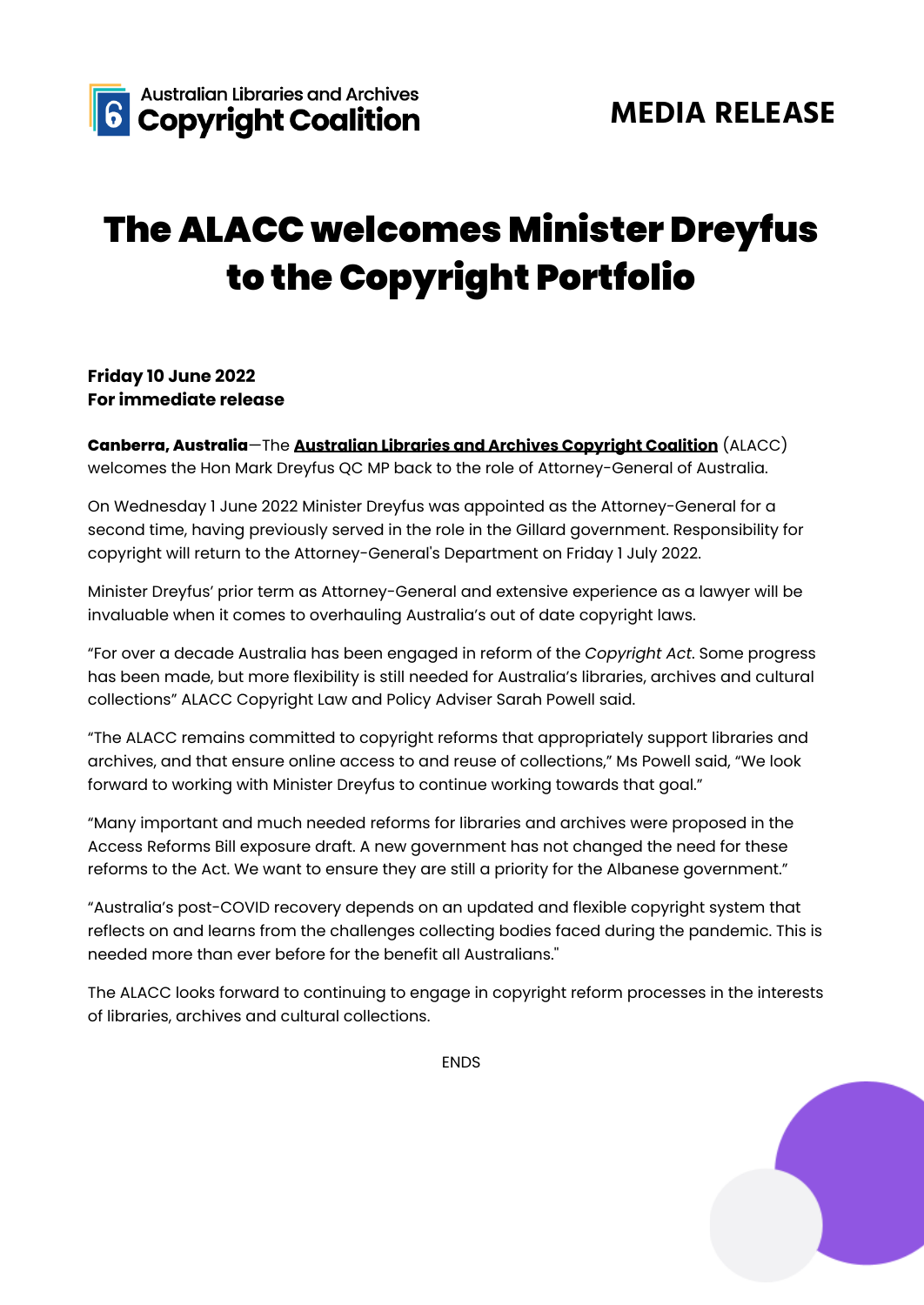

## The ALACC welcomes Minister Dreyfus to the Copyright Portfolio

## **Friday 10 June 2022 For immediate release**

**Canberra, Australia**—The **[Australian](https://alacc.org.au/) Libraries and Archives Copyright Coalition** (ALACC) welcomes the Hon Mark Dreyfus QC MP back to the role of Attorney-General of Australia.

On Wednesday 1 June 2022 Minister Dreyfus was appointed as the Attorney-General for a second time, having previously served in the role in the Gillard government. Responsibility for copyright will return to the Attorney-General's Department on Friday 1 July 2022.

Minister Dreyfus' prior term as Attorney-General and extensive experience as a lawyer will be invaluable when it comes to overhauling Australia's out of date copyright laws.

"For over a decade Australia has been engaged in reform of the *Copyright Act*. Some progress has been made, but more flexibility is still needed for Australia's libraries, archives and cultural collections" ALACC Copyright Law and Policy Adviser Sarah Powell said.

"The ALACC remains committed to copyright reforms that appropriately support libraries and archives, and that ensure online access to and reuse of collections," Ms Powell said, "We look forward to working with Minister Dreyfus to continue working towards that goal."

"Many important and much needed reforms for libraries and archives were proposed in the Access Reforms Bill exposure draft. A new government has not changed the need for these reforms to the Act. We want to ensure they are still a priority for the Albanese government."

"Australia's post-COVID recovery depends on an updated and flexible copyright system that reflects on and learns from the challenges collecting bodies faced during the pandemic. This is needed more than ever before for the benefit all Australians.''

The ALACC looks forward to continuing to engage in copyright reform processes in the interests of libraries, archives and cultural collections.

ENDS